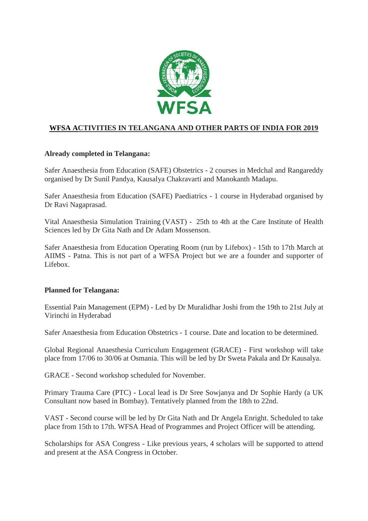

## **WFSA ACTIVITIES IN TELANGANA AND OTHER PARTS OF INDIA FOR 2019**

## **Already completed in Telangana:**

Safer Anaesthesia from Education (SAFE) Obstetrics - 2 courses in Medchal and Rangareddy organised by Dr Sunil Pandya, Kausalya Chakravarti and Manokanth Madapu.

Safer Anaesthesia from Education (SAFE) Paediatrics - 1 course in Hyderabad organised by Dr Ravi Nagaprasad.

Vital Anaesthesia Simulation Training (VAST) - 25th to 4th at the Care Institute of Health Sciences led by Dr Gita Nath and Dr Adam Mossenson.

Safer Anaesthesia from Education Operating Room (run by Lifebox) - 15th to 17th March at AIIMS - Patna. This is not part of a WFSA Project but we are a founder and supporter of Lifebox.

## **Planned for Telangana:**

Essential Pain Management (EPM) - Led by Dr Muralidhar Joshi from the 19th to 21st July at Virinchi in Hyderabad

Safer Anaesthesia from Education Obstetrics - 1 course. Date and location to be determined.

Global Regional Anaesthesia Curriculum Engagement (GRACE) - First workshop will take place from 17/06 to 30/06 at Osmania. This will be led by Dr Sweta Pakala and Dr Kausalya.

GRACE - Second workshop scheduled for November.

Primary Trauma Care (PTC) - Local lead is Dr Sree Sowjanya and Dr Sophie Hardy (a UK Consultant now based in Bombay). Tentatively planned from the 18th to 22nd.

VAST - Second course will be led by Dr Gita Nath and Dr Angela Enright. Scheduled to take place from 15th to 17th. WFSA Head of Programmes and Project Officer will be attending.

Scholarships for ASA Congress - Like previous years, 4 scholars will be supported to attend and present at the ASA Congress in October.